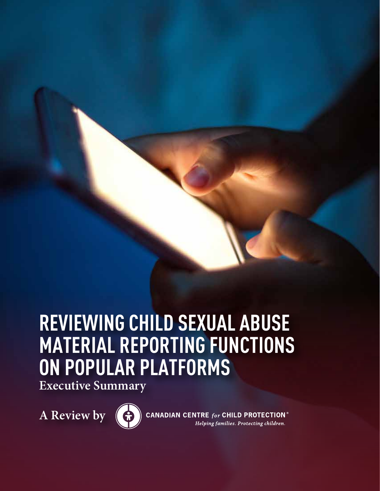# **REVIEWING CHILD SEXUAL ABUSE MATERIAL REPORTING FUNCTIONS ON POPULAR PLATFORMS**

**Executive Summary**

**A Review by** 



**CANADIAN CENTRE for CHILD PROTECTION®** Helping families. Protecting children.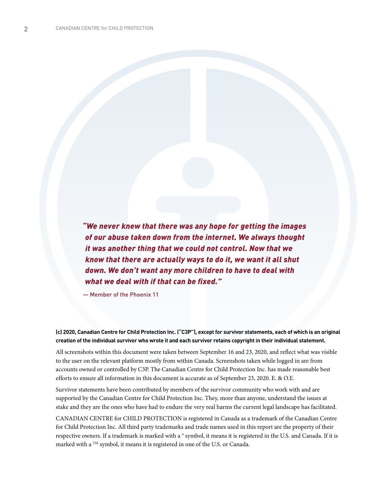*"We never knew that there was any hope for getting the images of our abuse taken down from the internet. We always thought it was another thing that we could not control. Now that we know that there are actually ways to do it, we want it all shut down. We don't want any more children to have to deal with what we deal with if that can be fixed."*

— Member of the Phoenix 11

**(c) 2020, Canadian Centre for Child Protection Inc. ("C3P"), except for survivor statements, each of which is an original creation of the individual survivor who wrote it and each survivor retains copyright in their individual statement.**

All screenshots within this document were taken between September 16 and 23, 2020, and reflect what was visible to the user on the relevant platform mostly from within Canada. Screenshots taken while logged in are from accounts owned or controlled by C3P. The Canadian Centre for Child Protection Inc. has made reasonable best efforts to ensure all information in this document is accurate as of September 23, 2020. E. & O.E.

Survivor statements have been contributed by members of the survivor community who work with and are supported by the Canadian Centre for Child Protection Inc. They, more than anyone, understand the issues at stake and they are the ones who have had to endure the very real harms the current legal landscape has facilitated.

CANADIAN CENTRE for CHILD PROTECTION is registered in Canada as a trademark of the Canadian Centre for Child Protection Inc. All third party trademarks and trade names used in this report are the property of their respective owners. If a trademark is marked with a ® symbol, it means it is registered in the U.S. and Canada. If it is marked with a <sup>TM</sup> symbol, it means it is registered in one of the U.S. or Canada.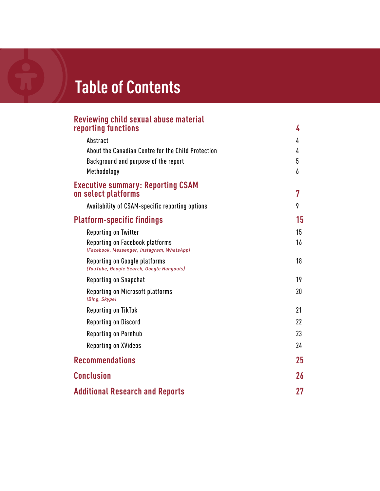# **Table of Contents**

#### **Reviewing child sexual abuse material reporting functions 4**

| Abstract                                                                      | 4  |
|-------------------------------------------------------------------------------|----|
| About the Canadian Centre for the Child Protection                            | 4  |
| Background and purpose of the report                                          | 5  |
| Methodology                                                                   | 6  |
| <b>Executive summary: Reporting CSAM</b>                                      |    |
| on select platforms                                                           | 7  |
| Availability of CSAM-specific reporting options                               | 9  |
| <b>Platform-specific findings</b>                                             | 15 |
| Reporting on Twitter                                                          | 15 |
| Reporting on Facebook platforms<br>(Facebook, Messenger, Instagram, WhatsApp) | 16 |
| Reporting on Google platforms<br>(YouTube, Google Search, Google Hangouts)    | 18 |
| Reporting on Snapchat                                                         | 19 |
| Reporting on Microsoft platforms<br>(Bing, Skype)                             | 20 |
| Reporting on TikTok                                                           | 21 |
| <b>Reporting on Discord</b>                                                   | 22 |
| <b>Reporting on Pornhub</b>                                                   | 23 |
| <b>Reporting on XVideos</b>                                                   | 24 |
| <b>Recommendations</b>                                                        | 25 |
| <b>Conclusion</b>                                                             | 26 |
| <b>Additional Research and Reports</b>                                        | 27 |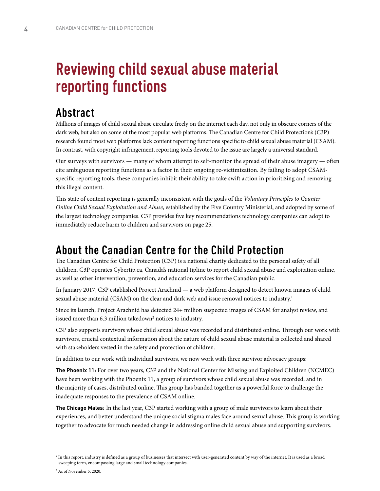# **Reviewing child sexual abuse material reporting functions**

## **Abstract**

Millions of images of child sexual abuse circulate freely on the internet each day, not only in obscure corners of the dark web, but also on some of the most popular web platforms. The Canadian Centre for Child Protection's (C3P) research found most web platforms lack content reporting functions specific to child sexual abuse material (CSAM). In contrast, with copyright infringement, reporting tools devoted to the issue are largely a universal standard.

Our surveys with survivors — many of whom attempt to self-monitor the spread of their abuse imagery — often cite ambiguous reporting functions as a factor in their ongoing re-victimization. By failing to adopt CSAMspecific reporting tools, these companies inhibit their ability to take swift action in prioritizing and removing this illegal content.

This state of content reporting is generally inconsistent with the goals of the *Voluntary Principles to Counter Online Child Sexual Exploitation and Abuse*, established by the Five Country Ministerial, and adopted by some of the largest technology companies. C3P provides five key recommendations technology companies can adopt to immediately reduce harm to children and survivors on page 25.

## **About the Canadian Centre for the Child Protection**

The Canadian Centre for Child Protection (C3P) is a national charity dedicated to the personal safety of all children. C3P operates Cybertip.ca, Canada's national tipline to report child sexual abuse and exploitation online, as well as other intervention, prevention, and education services for the Canadian public.

In January 2017, C3P established Project Arachnid — a web platform designed to detect known images of child sexual abuse material (CSAM) on the clear and dark web and issue removal notices to industry.<sup>1</sup>

Since its launch, Project Arachnid has detected 24+ million suspected images of CSAM for analyst review, and issued more than 6.3 million takedown $^\text{2}$  notices to industry.

C3P also supports survivors whose child sexual abuse was recorded and distributed online. Through our work with survivors, crucial contextual information about the nature of child sexual abuse material is collected and shared with stakeholders vested in the safety and protection of children.

In addition to our work with individual survivors, we now work with three survivor advocacy groups:

**The Phoenix 11:** For over two years, C3P and the National Center for Missing and Exploited Children (NCMEC) have been working with the Phoenix 11, a group of survivors whose child sexual abuse was recorded, and in the majority of cases, distributed online. This group has banded together as a powerful force to challenge the inadequate responses to the prevalence of CSAM online.

**The Chicago Males:** In the last year, C3P started working with a group of male survivors to learn about their experiences, and better understand the unique social stigma males face around sexual abuse. This group is working together to advocate for much needed change in addressing online child sexual abuse and supporting survivors.

<sup>&</sup>lt;sup>1</sup> In this report, industry is defined as a group of businesses that intersect with user-generated content by way of the internet. It is used as a broad sweeping term, encompassing large and small technology companies.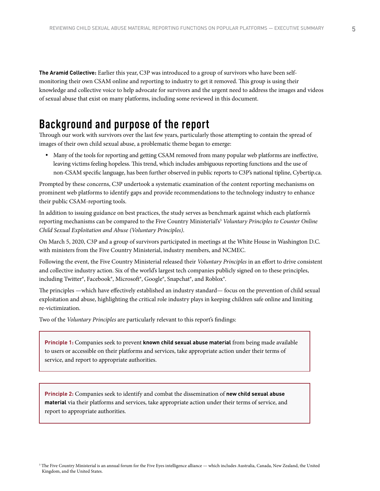**The Aramid Collective:** Earlier this year, C3P was introduced to a group of survivors who have been selfmonitoring their own CSAM online and reporting to industry to get it removed. This group is using their knowledge and collective voice to help advocate for survivors and the urgent need to address the images and videos of sexual abuse that exist on many platforms, including some reviewed in this document.

## **Background and purpose of the report**

Through our work with survivors over the last few years, particularly those attempting to contain the spread of images of their own child sexual abuse, a problematic theme began to emerge:

• Many of the tools for reporting and getting CSAM removed from many popular web platforms are ineffective, leaving victims feeling hopeless. This trend, which includes ambiguous reporting functions and the use of non-CSAM specific language, has been further observed in public reports to C3P's national tipline, Cybertip.ca.

Prompted by these concerns, C3P undertook a systematic examination of the content reporting mechanisms on prominent web platforms to identify gaps and provide recommendations to the technology industry to enhance their public CSAM-reporting tools.

In addition to issuing guidance on best practices, the study serves as benchmark against which each platform's reporting mechanisms can be compared to the Five Country Ministerial's<sup>3</sup> Voluntary Principles to Counter Online *Child Sexual Exploitation and Abuse (Voluntary Principles)*.

On March 5, 2020, C3P and a group of survivors participated in meetings at the White House in Washington D.C. with ministers from the Five Country Ministerial, industry members, and NCMEC.

Following the event, the Five Country Ministerial released their *Voluntary Principles* in an effort to drive consistent and collective industry action. Six of the world's largest tech companies publicly signed on to these principles, including Twitter®, Facebook®, Microsoft®, Google®, Snapchat®, and Roblox®.

The principles —which have effectively established an industry standard— focus on the prevention of child sexual exploitation and abuse, highlighting the critical role industry plays in keeping children safe online and limiting re-victimization.

Two of the *Voluntary Principles* are particularly relevant to this report's findings:

**Principle 1:** Companies seek to prevent **known child sexual abuse material** from being made available to users or accessible on their platforms and services, take appropriate action under their terms of service, and report to appropriate authorities.

**Principle 2:** Companies seek to identify and combat the dissemination of **new child sexual abuse material** via their platforms and services, take appropriate action under their terms of service, and report to appropriate authorities.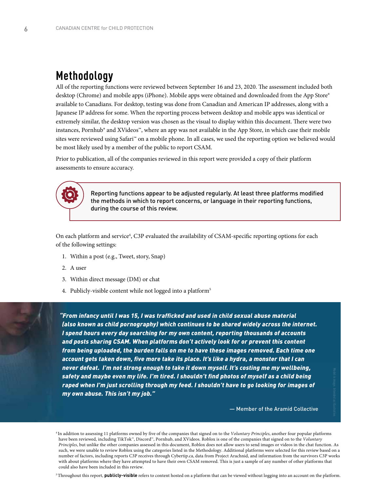## **Methodology**

All of the reporting functions were reviewed between September 16 and 23, 2020. The assessment included both desktop (Chrome) and mobile apps (iPhone). Mobile apps were obtained and downloaded from the App Store® available to Canadians. For desktop, testing was done from Canadian and American IP addresses, along with a Japanese IP address for some. When the reporting process between desktop and mobile apps was identical or extremely similar, the desktop version was chosen as the visual to display within this document. There were two instances, Pornhub® and XVideos™, where an app was not available in the App Store, in which case their mobile sites were reviewed using Safari™ on a mobile phone. In all cases, we used the reporting option we believed would be most likely used by a member of the public to report CSAM.

Prior to publication, all of the companies reviewed in this report were provided a copy of their platform assessments to ensure accuracy.



Reporting functions appear to be adjusted regularly. At least three platforms modified the methods in which to report concerns, or language in their reporting functions, during the course of this review.

On each platform and service<sup>4</sup>, C3P evaluated the availability of CSAM-specific reporting options for each of the following settings:

- 1. Within a post (e.g., Tweet, story, Snap)
- 2. A user
- 3. Within direct message (DM) or chat
- 4. Publicly-visible content while not logged into a platform<sup>5</sup>

*"From infancy until I was 15, I was trafficked and used in child sexual abuse material (also known as child pornography) which continues to be shared widely across the internet. I spend hours every day searching for my own content, reporting thousands of accounts and posts sharing CSAM. When platforms don't actively look for or prevent this content from being uploaded, the burden falls on me to have these images removed. Each time one account gets taken down, five more take its place. It's like a hydra, a monster that I can never defeat. I'm not strong enough to take it down myself. It's costing me my wellbeing, safety and maybe even my life. I'm tired. I shouldn't find photos of myself as a child being raped when I'm just scrolling through my feed. I shouldn't have to go looking for images of my own abuse. This isn't my job."* 

— Member of the Aramid Collective

4 In addition to assessing 11 platforms owned by five of the companies that signed on to the *Voluntary Principles*, another four popular platforms have been reviewed, including TikTok™, Discord™, Pornhub, and XVideos. Roblox is one of the companies that signed on to the *Voluntary Principles*, but unlike the other companies assessed in this document, Roblox does not allow users to send images or videos in the chat function. As such, we were unable to review Roblox using the categories listed in the Methodology. Additional platforms were selected for this review based on a number of factors, including reports C3P receives through Cybertip.ca, data from Project Arachnid, and information from the survivors C3P works with about platforms where they have attempted to have their own CSAM removed. This is just a sample of any number of other platforms that could also have been included in this review.

5 Throughout this report, **publicly-visible** refers to content hosted on a platform that can be viewed without logging into an account on the platform.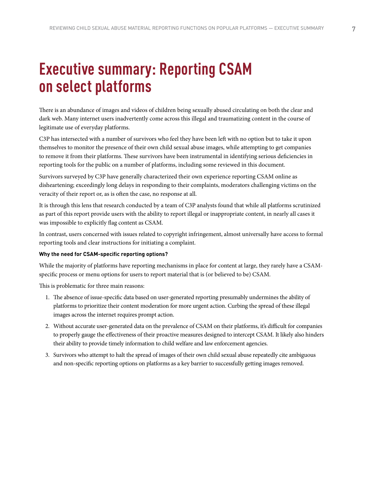# **Executive summary: Reporting CSAM on select platforms**

There is an abundance of images and videos of children being sexually abused circulating on both the clear and dark web. Many internet users inadvertently come across this illegal and traumatizing content in the course of legitimate use of everyday platforms.

C3P has intersected with a number of survivors who feel they have been left with no option but to take it upon themselves to monitor the presence of their own child sexual abuse images, while attempting to get companies to remove it from their platforms. These survivors have been instrumental in identifying serious deficiencies in reporting tools for the public on a number of platforms, including some reviewed in this document.

Survivors surveyed by C3P have generally characterized their own experience reporting CSAM online as disheartening; exceedingly long delays in responding to their complaints, moderators challenging victims on the veracity of their report or, as is often the case, no response at all.

It is through this lens that research conducted by a team of C3P analysts found that while all platforms scrutinized as part of this report provide users with the ability to report illegal or inappropriate content, in nearly all cases it was impossible to explicitly flag content as CSAM.

In contrast, users concerned with issues related to copyright infringement, almost universally have access to formal reporting tools and clear instructions for initiating a complaint.

#### **Why the need for CSAM-specific reporting options?**

While the majority of platforms have reporting mechanisms in place for content at large, they rarely have a CSAMspecific process or menu options for users to report material that is (or believed to be) CSAM.

This is problematic for three main reasons:

- 1. The absence of issue-specific data based on user-generated reporting presumably undermines the ability of platforms to prioritize their content moderation for more urgent action. Curbing the spread of these illegal images across the internet requires prompt action.
- 2. Without accurate user-generated data on the prevalence of CSAM on their platforms, it's difficult for companies to properly gauge the effectiveness of their proactive measures designed to intercept CSAM. It likely also hinders their ability to provide timely information to child welfare and law enforcement agencies.
- 3. Survivors who attempt to halt the spread of images of their own child sexual abuse repeatedly cite ambiguous and non-specific reporting options on platforms as a key barrier to successfully getting images removed.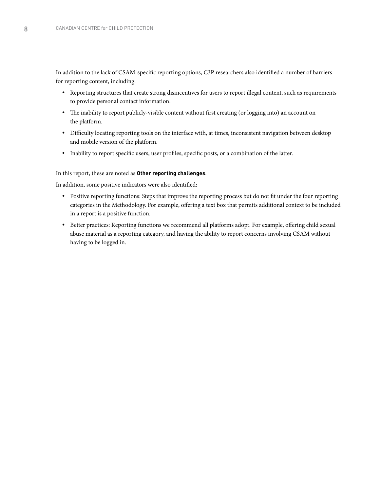In addition to the lack of CSAM-specific reporting options, C3P researchers also identified a number of barriers for reporting content, including:

- Reporting structures that create strong disincentives for users to report illegal content, such as requirements to provide personal contact information.
- The inability to report publicly-visible content without first creating (or logging into) an account on the platform.
- Difficulty locating reporting tools on the interface with, at times, inconsistent navigation between desktop and mobile version of the platform.
- Inability to report specific users, user profiles, specific posts, or a combination of the latter.

#### In this report, these are noted as **Other reporting challenges**.

In addition, some positive indicators were also identified:

- Positive reporting functions: Steps that improve the reporting process but do not fit under the four reporting categories in the Methodology. For example, offering a text box that permits additional context to be included in a report is a positive function.
- Better practices: Reporting functions we recommend all platforms adopt. For example, offering child sexual abuse material as a reporting category, and having the ability to report concerns involving CSAM without having to be logged in.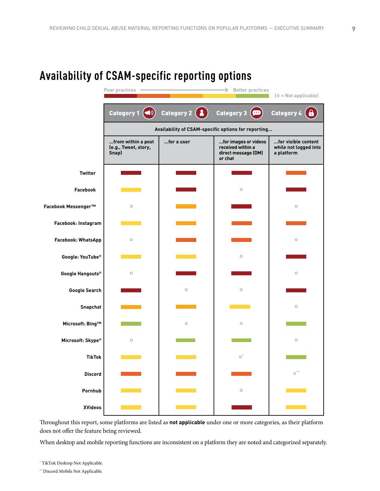

## **Availability of CSAM-specific reporting options**

Throughout this report, some platforms are listed as **not applicable** under one or more categories, as their platform does not offer the feature being reviewed.

When desktop and mobile reporting functions are inconsistent on a platform they are noted and categorized separately.

\*\* Discord Mobile Not Applicable.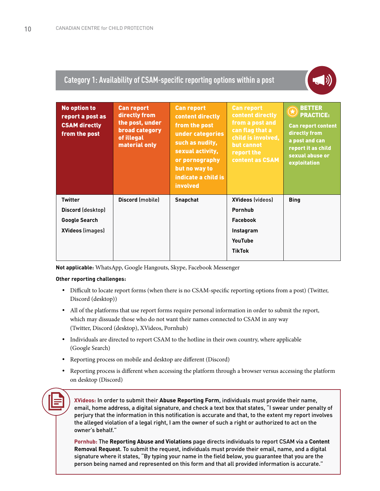#### **Category 1: Availability of CSAM-specific reporting options within a post**



| <b>No option to</b><br>report a post as<br><b>CSAM directly</b><br>from the post       | <b>Can report</b><br>directly from<br>the post, under<br><b>broad category</b><br>of illegal<br>material only | <b>Can report</b><br>content directly<br>from the post<br>under categories<br>such as nudity,<br>sexual activity,<br>or pornography<br>but no way to<br>indicate a child is<br><b>involved</b> | <b>Can report</b><br>content directly<br>from a post and<br>can flag that a<br>child is involved,<br>but cannot<br>report the<br>content as CSAM | <b>BETTER</b><br>$\bigcirc$<br><b>PRACTICE:</b><br><b>Can report content</b><br>directly from<br>a post and can<br>report it as child<br>sexual abuse or<br>exploitation |
|----------------------------------------------------------------------------------------|---------------------------------------------------------------------------------------------------------------|------------------------------------------------------------------------------------------------------------------------------------------------------------------------------------------------|--------------------------------------------------------------------------------------------------------------------------------------------------|--------------------------------------------------------------------------------------------------------------------------------------------------------------------------|
| <b>Twitter</b><br>Discord (desktop)<br><b>Google Search</b><br><b>XVideos (images)</b> | Discord (mobile)                                                                                              | <b>Snapchat</b>                                                                                                                                                                                | <b>XVideos (videos)</b><br>Pornhub<br><b>Facebook</b><br>Instagram<br>YouTube<br><b>TikTok</b>                                                   | <b>Bing</b>                                                                                                                                                              |

**Not applicable:** WhatsApp, Google Hangouts, Skype, Facebook Messenger

#### **Other reporting challenges:**

- y Difficult to locate report forms (when there is no CSAM-specific reporting options from a post) (Twitter, Discord (desktop))
- All of the platforms that use report forms require personal information in order to submit the report, which may dissuade those who do not want their names connected to CSAM in any way (Twitter, Discord (desktop), XVideos, Pornhub)
- Individuals are directed to report CSAM to the hotline in their own country, where applicable (Google Search)
- Reporting process on mobile and desktop are different (Discord)
- y Reporting process is different when accessing the platform through a browser versus accessing the platform on desktop (Discord)

**XVideos:** In order to submit their **Abuse Reporting Form**, individuals must provide their name, email, home address, a digital signature, and check a text box that states, "I swear under penalty of perjury that the information in this notification is accurate and that, to the extent my report involves the alleged violation of a legal right, I am the owner of such a right or authorized to act on the owner's behalf."

**Pornhub:** The **Reporting Abuse and Violations** page directs individuals to report CSAM via a **Content Removal Request**. To submit the request, individuals must provide their email, name, and a digital signature where it states, "By typing your name in the field below, you guarantee that you are the person being named and represented on this form and that all provided information is accurate."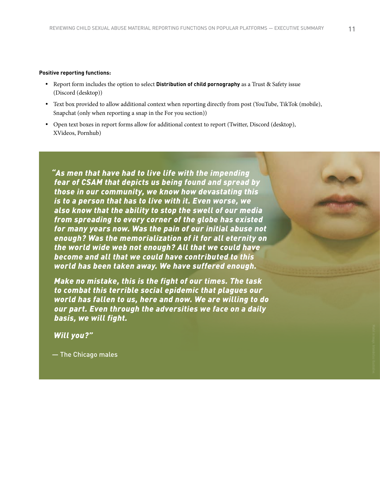#### **Positive reporting functions:**

- **•** Report form includes the option to select **Distribution of child pornography** as a Trust & Safety issue (Discord (desktop))
- y Text box provided to allow additional context when reporting directly from post (YouTube, TikTok (mobile), Snapchat (only when reporting a snap in the For you section))
- y Open text boxes in report forms allow for additional context to report (Twitter, Discord (desktop), XVideos, Pornhub)

*"As men that have had to live life with the impending fear of CSAM that depicts us being found and spread by those in our community, we know how devastating this is to a person that has to live with it. Even worse, we also know that the ability to stop the swell of our media from spreading to every corner of the globe has existed for many years now. Was the pain of our initial abuse not enough? Was the memorialization of it for all eternity on the world wide web not enough? All that we could have become and all that we could have contributed to this world has been taken away. We have suffered enough.* 

*Make no mistake, this is the fight of our times. The task to combat this terrible social epidemic that plagues our world has fallen to us, here and now. We are willing to do our part. Even through the adversities we face on a daily basis, we will fight.* 

*Will you?"*

— The Chicago males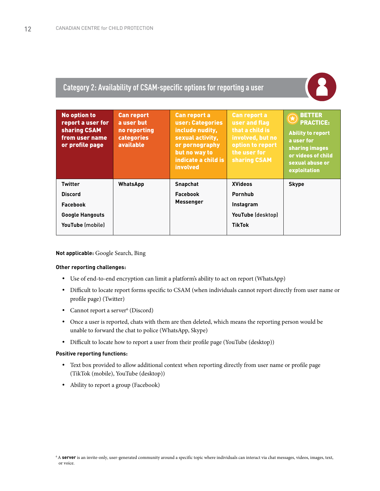#### **Category 2: Availability of CSAM-specific options for reporting a user**



#### **Not applicable:** Google Search, Bing

#### **Other reporting challenges:**

- y Use of end-to-end encryption can limit a platform's ability to act on report (WhatsApp)
- y Difficult to locate report forms specific to CSAM (when individuals cannot report directly from user name or profile page) (Twitter)
- Cannot report a server<sup>6</sup> (Discord)
- Once a user is reported, chats with them are then deleted, which means the reporting person would be unable to forward the chat to police (WhatsApp, Skype)
- Difficult to locate how to report a user from their profile page (YouTube (desktop))

#### **Positive reporting functions:**

- Text box provided to allow additional context when reporting directly from user name or profile page (TikTok (mobile), YouTube (desktop))
- Ability to report a group (Facebook)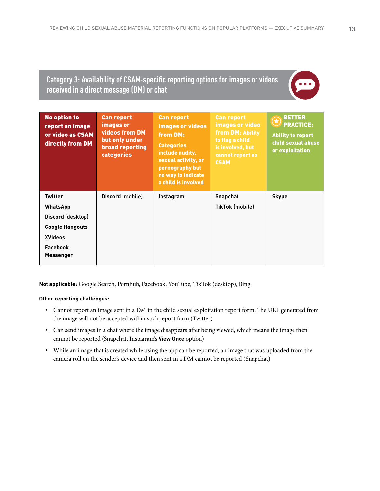#### **Category 3: Availability of CSAM-specific reporting options for images or videos received in a direct message (DM) or chat**

| <b>No option to</b><br>report an image<br>or video as CSAM<br>directly from DM                                                     | <b>Can report</b><br>images or<br>videos from DM<br>but only under<br><b>broad reporting</b><br><b>categories</b> | <b>Can report</b><br><b>images or videos</b><br>from DM:<br><b>Categories</b><br>include nudity,<br>sexual activity, or<br>pornography but<br>no way to indicate<br>a child is involved | <b>Can report</b><br>images or video<br>from DM: Ability<br>to flag a child<br>is involved, but<br>cannot report as<br><b>CSAM</b> | <b>BETTER</b><br>$\bigstar$<br><b>PRACTICE:</b><br><b>Ability to report</b><br>child sexual abuse<br>or exploitation |
|------------------------------------------------------------------------------------------------------------------------------------|-------------------------------------------------------------------------------------------------------------------|-----------------------------------------------------------------------------------------------------------------------------------------------------------------------------------------|------------------------------------------------------------------------------------------------------------------------------------|----------------------------------------------------------------------------------------------------------------------|
| <b>Twitter</b><br><b>WhatsApp</b><br>Discord (desktop)<br><b>Google Hangouts</b><br><b>XVideos</b><br>Facebook<br><b>Messenger</b> | Discord (mobile)                                                                                                  | Instagram                                                                                                                                                                               | <b>Snapchat</b><br><b>TikTok (mobile)</b>                                                                                          | <b>Skype</b>                                                                                                         |

**Not applicable:** Google Search, Pornhub, Facebook, YouTube, TikTok (desktop), Bing

#### **Other reporting challenges:**

- y Cannot report an image sent in a DM in the child sexual exploitation report form. The URL generated from the image will not be accepted within such report form (Twitter)
- y Can send images in a chat where the image disappears after being viewed, which means the image then cannot be reported (Snapchat, Instagram's **View Once** option)
- While an image that is created while using the app can be reported, an image that was uploaded from the camera roll on the sender's device and then sent in a DM cannot be reported (Snapchat)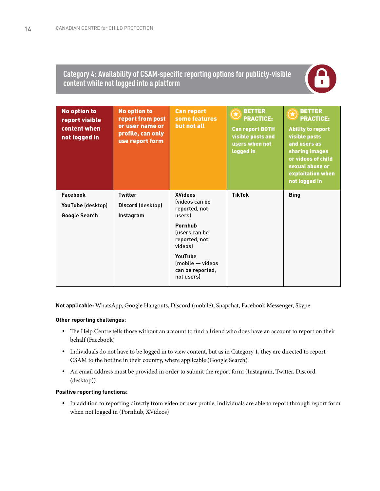#### **Category 4: Availability of CSAM-specific reporting options for publicly-visible content while not logged into a platform**



| <b>No option to</b><br>report visible<br>content when<br>not logged in | <b>No option to</b><br>report from post<br>or user name or<br>profile, can only<br>use report form | <b>Can report</b><br>some features<br>but not all                                                                                                                                           | <b>BETTER</b><br>$\bigl( \bigstar \bigr)$<br><b>PRACTICE:</b><br><b>Can report BOTH</b><br>visible posts and<br>users when not<br>logged in | <b>BETTER</b><br>$\bigstar$<br><b>PRACTICE:</b><br><b>Ability to report</b><br>visible posts<br>and users as<br>sharing images<br>or videos of child<br>sexual abuse or<br>exploitation when<br>not logged in |
|------------------------------------------------------------------------|----------------------------------------------------------------------------------------------------|---------------------------------------------------------------------------------------------------------------------------------------------------------------------------------------------|---------------------------------------------------------------------------------------------------------------------------------------------|---------------------------------------------------------------------------------------------------------------------------------------------------------------------------------------------------------------|
| <b>Facebook</b><br>YouTube (desktop)<br><b>Google Search</b>           | <b>Twitter</b><br>Discord (desktop)<br>Instagram                                                   | <b>XVideos</b><br><b>Ivideos can be</b><br>reported, not<br>users)<br>Pornhub<br>fusers can be<br>reported, not<br>videosl<br>YouTube<br>(mobile - videos<br>can be reported,<br>not users) | <b>TikTok</b>                                                                                                                               | <b>Bing</b>                                                                                                                                                                                                   |

**Not applicable:** WhatsApp, Google Hangouts, Discord (mobile), Snapchat, Facebook Messenger, Skype

#### **Other reporting challenges:**

- The Help Centre tells those without an account to find a friend who does have an account to report on their behalf (Facebook)
- Individuals do not have to be logged in to view content, but as in Category 1, they are directed to report CSAM to the hotline in their country, where applicable (Google Search)
- y An email address must be provided in order to submit the report form (Instagram, Twitter, Discord (desktop))

#### **Positive reporting functions:**

y In addition to reporting directly from video or user profile, individuals are able to report through report form when not logged in (Pornhub, XVideos)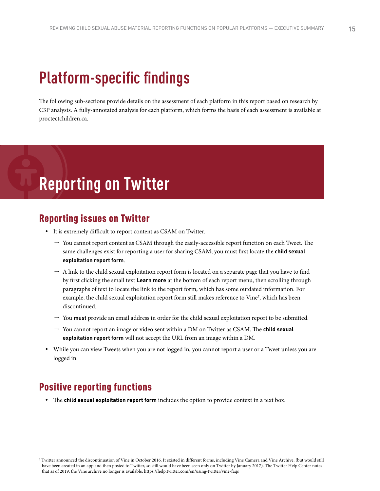# **Platform-specific findings**

The following sub-sections provide details on the assessment of each platform in this report based on research by C3P analysts. A fully-annotated analysis for each platform, which forms the basis of each assessment is available at proctectchildren.ca.

# **Reporting on Twitter**

#### Reporting issues on Twitter

- It is extremely difficult to report content as CSAM on Twitter.
	- $\rightarrow$  You cannot report content as CSAM through the easily-accessible report function on each Tweet. The same challenges exist for reporting a user for sharing CSAM; you must first locate the **child sexual exploitation report form**.
	- $\rightarrow$  A link to the child sexual exploitation report form is located on a separate page that you have to find by first clicking the small text **Learn more** at the bottom of each report menu, then scrolling through paragraphs of text to locate the link to the report form, which has some outdated information. For example, the child sexual exploitation report form still makes reference to Vine7 , which has been discontinued.
	- $\rightarrow$  You **must** provide an email address in order for the child sexual exploitation report to be submitted.
	- → You cannot report an image or video sent within a DM on Twitter as CSAM. The **child sexual exploitation report form** will not accept the URL from an image within a DM.
- While you can view Tweets when you are not logged in, you cannot report a user or a Tweet unless you are logged in.

#### Positive reporting functions

• The **child sexual exploitation report form** includes the option to provide context in a text box.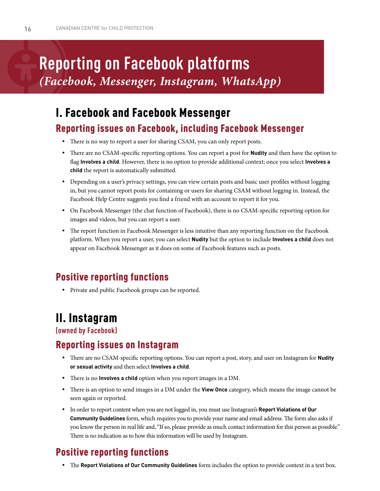# **Reporting on Facebook platforms** *(Facebook, Messenger, Instagram, WhatsApp)*

# I. Facebook and Facebook Messenger

### Reporting issues on Facebook, including Facebook Messenger

- There is no way to report a user for sharing CSAM, you can only report posts.
- y There are no CSAM-specific reporting options. You can report a post for **Nudity** and then have the option to flag **Involves a child**. However, there is no option to provide additional context; once you select **Involves a child** the report is automatically submitted.
- Depending on a user's privacy settings, you can view certain posts and basic user profiles without logging in, but you cannot report posts for containing or users for sharing CSAM without logging in. Instead, the Facebook Help Centre suggests you find a friend with an account to report it for you.
- On Facebook Messenger (the chat function of Facebook), there is no CSAM-specific reporting option for images and videos, but you can report a user.
- The report function in Facebook Messenger is less intuitive than any reporting function on the Facebook platform. When you report a user, you can select **Nudity** but the option to include **Involves a child** does not appear on Facebook Messenger as it does on some of Facebook features such as posts.

## Positive reporting functions

• Private and public Facebook groups can be reported.

# II. Instagram

**(owned by Facebook)**

### Reporting issues on Instagram

- y There are no CSAM-specific reporting options. You can report a post, story, and user on Instagram for **Nudity or sexual activity** and then select **Involves a child**.
- There is no **Involves a child** option when you report images in a DM.
- y There is an option to send images in a DM under the **View Once** category, which means the image cannot be seen again or reported.
- y In order to report content when you are not logged in, you must use Instagram's **Report Violations of Our Community Guidelines** form, which requires you to provide your name and email address. The form also asks if you know the person in real life and, "If so, please provide as much contact information for this person as possible." There is no indication as to how this information will be used by Instagram.

## Positive reporting functions

y The **Report Violations of Our Community Guidelines** form includes the option to provide context in a text box.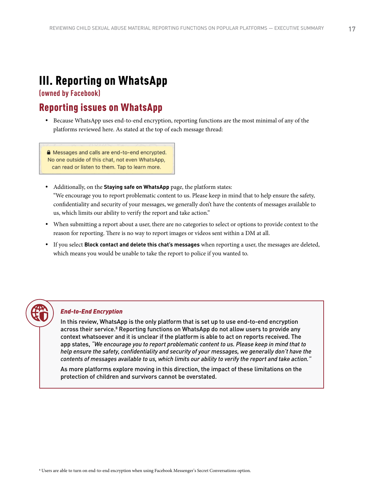## III. Reporting on WhatsApp

**(owned by Facebook)**

### Reporting issues on WhatsApp

y Because WhatsApp uses end-to-end encryption, reporting functions are the most minimal of any of the platforms reviewed here. As stated at the top of each message thread:

A Messages and calls are end-to-end encrypted. No one outside of this chat, not even WhatsApp, can read or listen to them. Tap to learn more.

- Additionally, on the **Staying safe on WhatsApp** page, the platform states: "We encourage you to report problematic content to us. Please keep in mind that to help ensure the safety, confidentiality and security of your messages, we generally don't have the contents of messages available to us, which limits our ability to verify the report and take action."
- When submitting a report about a user, there are no categories to select or options to provide context to the reason for reporting. There is no way to report images or videos sent within a DM at all.
- y If you select **Block contact and delete this chat's messages** when reporting a user, the messages are deleted, which means you would be unable to take the report to police if you wanted to.



#### *End-to-End Encryption*

In this review, WhatsApp is the only platform that is set up to use end-to-end encryption across their service.<sup>8</sup> Reporting functions on WhatsApp do not allow users to provide any context whatsoever and it is unclear if the platform is able to act on reports received. The app states, *"We encourage you to report problematic content to us. Please keep in mind that to help ensure the safety, confidentiality and security of your messages, we generally don't have the contents of messages available to us, which limits our ability to verify the report and take action."*

As more platforms explore moving in this direction, the impact of these limitations on the protection of children and survivors cannot be overstated.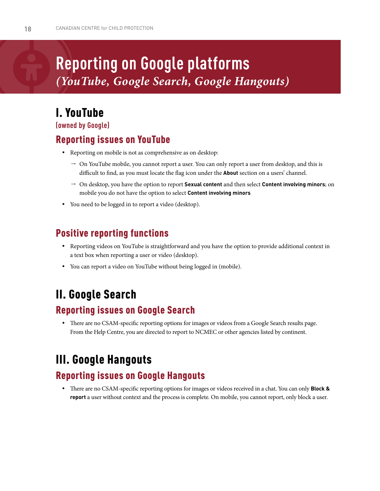# **Reporting on Google platforms** *(YouTube, Google Search, Google Hangouts)*

## I. YouTube

**(owned by Google)**

### Reporting issues on YouTube

- Reporting on mobile is not as comprehensive as on desktop:
	- $\rightarrow$  On YouTube mobile, you cannot report a user. You can only report a user from desktop, and this is difficult to find, as you must locate the flag icon under the **About** section on a users' channel.
	- l On desktop, you have the option to report **Sexual content** and then select **Content involving minors**; on mobile you do not have the option to select **Content involving minors**
- You need to be logged in to report a video (desktop).

### Positive reporting functions

- y Reporting videos on YouTube is straightforward and you have the option to provide additional context in a text box when reporting a user or video (desktop).
- You can report a video on YouTube without being logged in (mobile).

## II. Google Search

### Reporting issues on Google Search

• There are no CSAM-specific reporting options for images or videos from a Google Search results page. From the Help Centre, you are directed to report to NCMEC or other agencies listed by continent.

## III. Google Hangouts

### Reporting issues on Google Hangouts

y There are no CSAM-specific reporting options for images or videos received in a chat. You can only **Block & report** a user without context and the process is complete. On mobile, you cannot report, only block a user.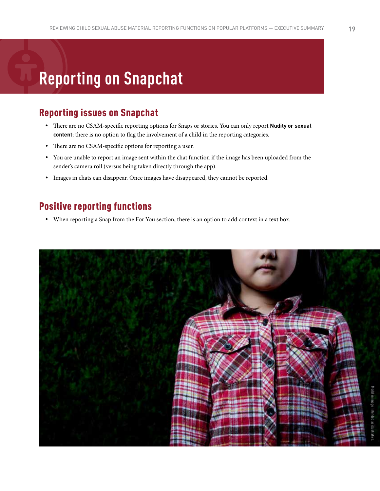# **Reporting on Snapchat**

## Reporting issues on Snapchat

- y There are no CSAM-specific reporting options for Snaps or stories. You can only report **Nudity or sexual content**; there is no option to flag the involvement of a child in the reporting categories.
- There are no CSAM-specific options for reporting a user.
- You are unable to report an image sent within the chat function if the image has been uploaded from the sender's camera roll (versus being taken directly through the app).
- y Images in chats can disappear. Once images have disappeared, they cannot be reported.

## Positive reporting functions

• When reporting a Snap from the For You section, there is an option to add context in a text box.

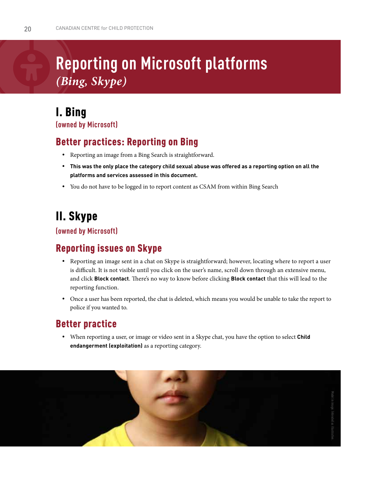# **Reporting on Microsoft platforms** *(Bing, Skype)*

### I. Bing **(owned by Microsoft)**

## Better practices: Reporting on Bing

- Reporting an image from a Bing Search is straightforward.
- y **This was the only place the category child sexual abuse was offered as a reporting option on all the platforms and services assessed in this document.**
- You do not have to be logged in to report content as CSAM from within Bing Search

# II. Skype

**(owned by Microsoft)**

### Reporting issues on Skype

- Reporting an image sent in a chat on Skype is straightforward; however, locating where to report a user is difficult. It is not visible until you click on the user's name, scroll down through an extensive menu, and click **Block contact**. There's no way to know before clicking **Block contact** that this will lead to the reporting function.
- y Once a user has been reported, the chat is deleted, which means you would be unable to take the report to police if you wanted to.

### Better practice

• When reporting a user, or image or video sent in a Skype chat, you have the option to select **Child endangerment (exploitation)** as a reporting category.

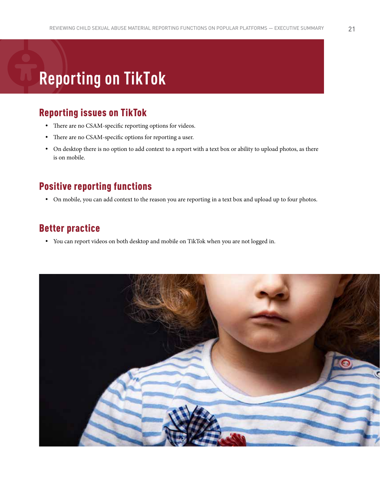# **Reporting on TikTok**

## Reporting issues on TikTok

- There are no CSAM-specific reporting options for videos.
- There are no CSAM-specific options for reporting a user.
- On desktop there is no option to add context to a report with a text box or ability to upload photos, as there is on mobile.

### Positive reporting functions

• On mobile, you can add context to the reason you are reporting in a text box and upload up to four photos.

#### Better practice

• You can report videos on both desktop and mobile on TikTok when you are not logged in.

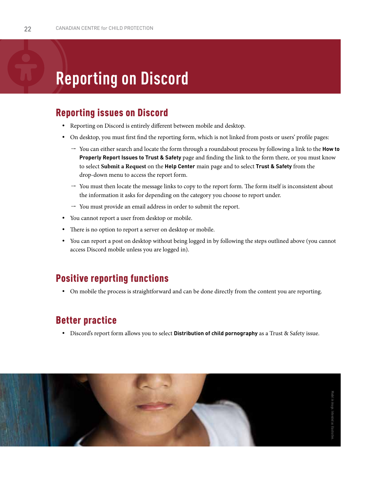# **Reporting on Discord**

### Reporting issues on Discord

- Reporting on Discord is entirely different between mobile and desktop.
- On desktop, you must first find the reporting form, which is not linked from posts or users' profile pages:
	- l You can either search and locate the form through a roundabout process by following a link to the **How to Properly Report Issues to Trust & Safety** page and finding the link to the form there, or you must know to select **Submit a Request** on the **Help Center** main page and to select **Trust & Safety** from the drop-down menu to access the report form.
	- $\rightarrow$  You must then locate the message links to copy to the report form. The form itself is inconsistent about the information it asks for depending on the category you choose to report under.
	- $\rightarrow$  You must provide an email address in order to submit the report.
- You cannot report a user from desktop or mobile.
- There is no option to report a server on desktop or mobile.
- y You can report a post on desktop without being logged in by following the steps outlined above (you cannot access Discord mobile unless you are logged in).

#### Positive reporting functions

• On mobile the process is straightforward and can be done directly from the content you are reporting.

### Better practice

y Discord's report form allows you to select **Distribution of child pornography** as a Trust & Safety issue.

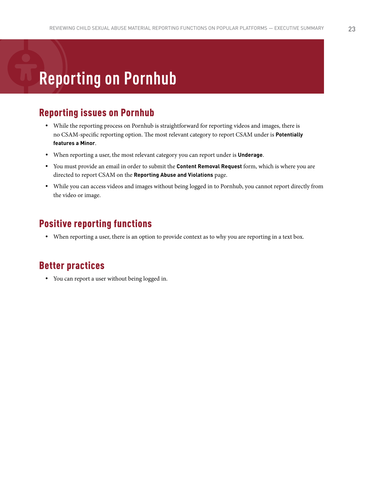# **Reporting on Pornhub**

### Reporting issues on Pornhub

- While the reporting process on Pornhub is straightforward for reporting videos and images, there is no CSAM-specific reporting option. The most relevant category to report CSAM under is **Potentially features a Minor**.
- When reporting a user, the most relevant category you can report under is **Underage**.
- y You must provide an email in order to submit the **Content Removal Request** form, which is where you are directed to report CSAM on the **Reporting Abuse and Violations** page.
- While you can access videos and images without being logged in to Pornhub, you cannot report directly from the video or image.

### Positive reporting functions

• When reporting a user, there is an option to provide context as to why you are reporting in a text box.

### Better practices

• You can report a user without being logged in.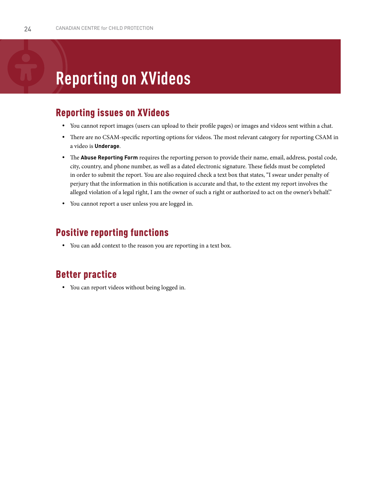# **Reporting on XVideos**

### Reporting issues on XVideos

- y You cannot report images (users can upload to their profile pages) or images and videos sent within a chat.
- There are no CSAM-specific reporting options for videos. The most relevant category for reporting CSAM in a video is **Underage**.
- y The **Abuse Reporting Form** requires the reporting person to provide their name, email, address, postal code, city, country, and phone number, as well as a dated electronic signature. These fields must be completed in order to submit the report. You are also required check a text box that states, "I swear under penalty of perjury that the information in this notification is accurate and that, to the extent my report involves the alleged violation of a legal right, I am the owner of such a right or authorized to act on the owner's behalf."
- You cannot report a user unless you are logged in.

#### Positive reporting functions

• You can add context to the reason you are reporting in a text box.

### Better practice

• You can report videos without being logged in.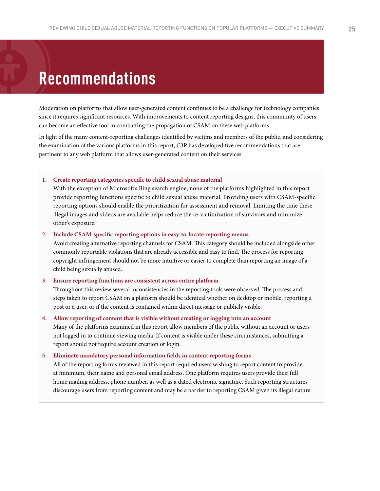# **Recommendations**

Moderation on platforms that allow user-generated content continues to be a challenge for technology companies since it requires significant resources. With improvements to content reporting designs, this community of users can become an effective tool in combatting the propagation of CSAM on these web platforms.

In light of the many content-reporting challenges identified by victims and members of the public, and considering the examination of the various platforms in this report, C3P has developed five recommendations that are pertinent to any web platform that allows user-generated content on their services:

**1. Create reporting categories specific to child sexual abuse material**

With the exception of Microsoft's Bing search engine, none of the platforms highlighted in this report provide reporting functions specific to child sexual abuse material. Providing users with CSAM-specific reporting options should enable the prioritization for assessment and removal. Limiting the time these illegal images and videos are available helps reduce the re-victimization of survivors and minimize other's exposure.

#### **2. Include CSAM-specific reporting options in easy-to-locate reporting menus**

Avoid creating alternative reporting channels for CSAM. This category should be included alongside other commonly reportable violations that are already accessible and easy to find. The process for reporting copyright infringement should not be more intuitive or easier to complete than reporting an image of a child being sexually abused.

#### **3. Ensure reporting functions are consistent across entire platform**

Throughout this review several inconsistencies in the reporting tools were observed. The process and steps taken to report CSAM on a platform should be identical whether on desktop or mobile, reporting a post or a user, or if the content is contained within direct message or publicly visible.

**4. Allow reporting of content that is visible without creating or logging into an account** Many of the platforms examined in this report allow members of the public without an account or users not logged in to continue viewing media. If content is visible under these circumstances, submitting a report should not require account creation or login.

**5. Eliminate mandatory personal information fields in content reporting forms** All of the reporting forms reviewed in this report required users wishing to report content to provide, at minimum, their name and personal email address. One platform requires users provide their full home mailing address, phone number, as well as a dated electronic signature. Such reporting structures discourage users from reporting content and may be a barrier to reporting CSAM given its illegal nature.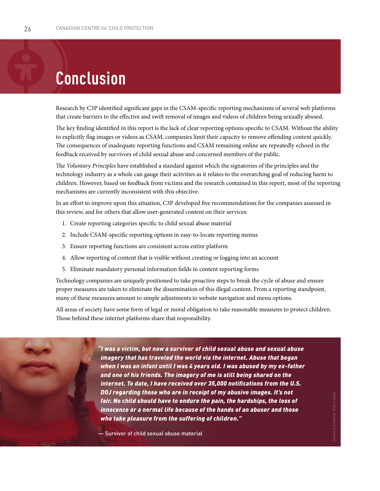# **Conclusion**

Research by C3P identified significant gaps in the CSAM-specific reporting mechanisms of several web platforms that create barriers to the effective and swift removal of images and videos of children being sexually abused.

The key finding identified in this report is the lack of clear reporting options specific to CSAM. Without the ability to explicitly flag images or videos as CSAM, companies limit their capacity to remove offending content quickly. The consequences of inadequate reporting functions and CSAM remaining online are repeatedly echoed in the feedback received by survivors of child sexual abuse and concerned members of the public.

The *Voluntary Principles* have established a standard against which the signatories of the principles and the technology industry as a whole can gauge their activities as it relates to the overarching goal of reducing harm to children. However, based on feedback from victims and the research contained in this report, most of the reporting mechanisms are currently inconsistent with this objective.

In an effort to improve upon this situation, C3P developed five recommendations for the companies assessed in this review, and for others that allow user-generated content on their services:

- 1. Create reporting categories specific to child sexual abuse material
- 2. Include CSAM-specific reporting options in easy-to-locate reporting menus
- 3. Ensure reporting functions are consistent across entire platform
- 4. Allow reporting of content that is visible without creating or logging into an account
- 5. Eliminate mandatory personal information fields in content reporting forms

Technology companies are uniquely positioned to take proactive steps to break the cycle of abuse and ensure proper measures are taken to eliminate the dissemination of this illegal content. From a reporting standpoint, many of these measures amount to simple adjustments to website navigation and menu options.

All areas of society have some form of legal or moral obligation to take reasonable measures to protect children. Those behind these internet platforms share that responsibility.

> *"I was a victim, but now a survivor of child sexual abuse and sexual abuse imagery that has traveled the world via the internet. Abuse that began when I was an infant until I was 4 years old. I was abused by my ex-father and one of his friends. The imagery of me is still being shared on the internet. To date, I have received over 35,000 notifications from the U.S. DOJ regarding those who are in receipt of my abusive images. It's not fair. No child should have to endure the pain, the hardships, the loss of innocence or a normal life because of the hands of an abuser and those who take pleasure from the suffering of children."*

— Survivor of child sexual abuse material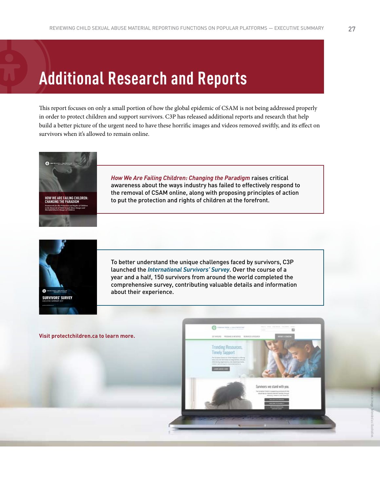This report focuses on only a small portion of how the global epidemic of CSAM is not being addressed properly in order to protect children and support survivors. C3P has released additional reports and research that help build a better picture of the urgent need to have these horrific images and videos removed swiftly, and its effect on survivors when it's allowed to remain online.



**HOW WE ARE FAILING CHILDREN: CHANGING THE PARADIGM** *Framework for the Protection and Rights of Children in the Removal of Child Sexual Abuse Images and* 

*Harmful/Abusive Images of Children*

*How We Are Failing Children: Changing the Paradigm* raises critical awareness about the ways industry has failed to effectively respond to the removal of CSAM online, along with proposing principles of action to put the protection and rights of children at the forefront.



To better understand the unique challenges faced by survivors, C3P launched the *International Survivors' Survey*. Over the course of a year and a half, 150 survivors from around the world completed the comprehensive survey, contributing valuable details and information about their experience.

**Visit protectchildren.ca to learn more.**